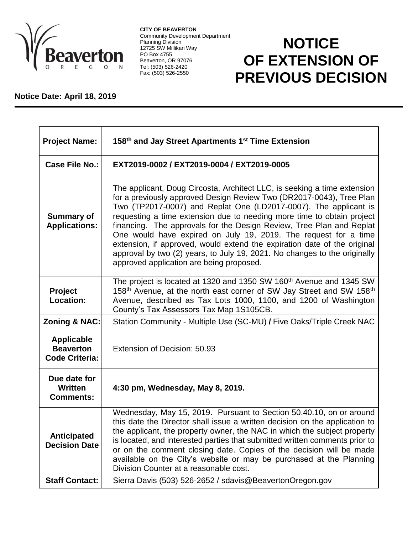

**CITY OF BEAVERTON** Community Development Department Planning Division 12725 SW Millikan Way PO Box 4755 Beaverton, OR 97076 Tel: (503) 526-2420 Fax: (503) 526-2550

## **NOTICE OF EXTENSION OF PREVIOUS DECISION**

## **Notice Date: April 18, 2019**

| <b>Project Name:</b>                                           | 158 <sup>th</sup> and Jay Street Apartments 1 <sup>st</sup> Time Extension                                                                                                                                                                                                                                                                                                                                                                                                                                                                                                                                                                     |
|----------------------------------------------------------------|------------------------------------------------------------------------------------------------------------------------------------------------------------------------------------------------------------------------------------------------------------------------------------------------------------------------------------------------------------------------------------------------------------------------------------------------------------------------------------------------------------------------------------------------------------------------------------------------------------------------------------------------|
| <b>Case File No.:</b>                                          | EXT2019-0002 / EXT2019-0004 / EXT2019-0005                                                                                                                                                                                                                                                                                                                                                                                                                                                                                                                                                                                                     |
| <b>Summary of</b><br><b>Applications:</b>                      | The applicant, Doug Circosta, Architect LLC, is seeking a time extension<br>for a previously approved Design Review Two (DR2017-0043), Tree Plan<br>Two (TP2017-0007) and Replat One (LD2017-0007). The applicant is<br>requesting a time extension due to needing more time to obtain project<br>financing. The approvals for the Design Review, Tree Plan and Replat<br>One would have expired on July 19, 2019. The request for a time<br>extension, if approved, would extend the expiration date of the original<br>approval by two (2) years, to July 19, 2021. No changes to the originally<br>approved application are being proposed. |
| Project<br><b>Location:</b>                                    | The project is located at 1320 and 1350 SW 160 <sup>th</sup> Avenue and 1345 SW<br>158 <sup>th</sup> Avenue, at the north east corner of SW Jay Street and SW 158 <sup>th</sup><br>Avenue, described as Tax Lots 1000, 1100, and 1200 of Washington<br>County's Tax Assessors Tax Map 1S105CB.                                                                                                                                                                                                                                                                                                                                                 |
| <b>Zoning &amp; NAC:</b>                                       | Station Community - Multiple Use (SC-MU) / Five Oaks/Triple Creek NAC                                                                                                                                                                                                                                                                                                                                                                                                                                                                                                                                                                          |
| <b>Applicable</b><br><b>Beaverton</b><br><b>Code Criteria:</b> | Extension of Decision: 50.93                                                                                                                                                                                                                                                                                                                                                                                                                                                                                                                                                                                                                   |
| Due date for<br>Written<br><b>Comments:</b>                    | 4:30 pm, Wednesday, May 8, 2019.                                                                                                                                                                                                                                                                                                                                                                                                                                                                                                                                                                                                               |
| <b>Anticipated</b><br><b>Decision Date</b>                     | Wednesday, May 15, 2019. Pursuant to Section 50.40.10, on or around<br>this date the Director shall issue a written decision on the application to<br>the applicant, the property owner, the NAC in which the subject property<br>is located, and interested parties that submitted written comments prior to<br>or on the comment closing date. Copies of the decision will be made<br>available on the City's website or may be purchased at the Planning<br>Division Counter at a reasonable cost.                                                                                                                                          |
| <b>Staff Contact:</b>                                          | Sierra Davis (503) 526-2652 / sdavis@BeavertonOregon.gov                                                                                                                                                                                                                                                                                                                                                                                                                                                                                                                                                                                       |